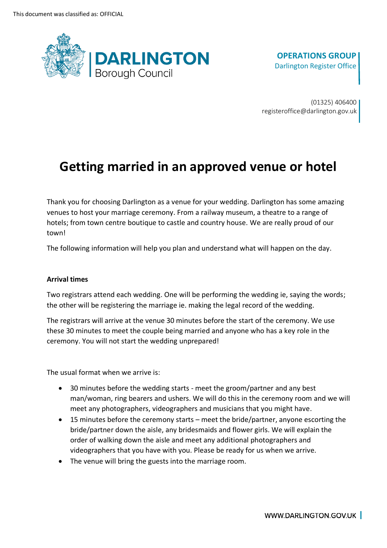

(01325) 406400 registeroffice@darlington.gov.uk

# **Getting married in an approved venue or hotel**

 Thank you for choosing Darlington as a venue for your wedding. Darlington has some amazing venues to host your marriage ceremony. From a railway museum, a theatre to a range of hotels; from town centre boutique to castle and country house. We are really proud of our town!

The following information will help you plan and understand what will happen on the day.

## **Arrival times**

 Two registrars attend each wedding. One will be performing the wedding ie, saying the words; the other will be registering the marriage ie. making the legal record of the wedding.

 The registrars will arrive at the venue 30 minutes before the start of the ceremony. We use these 30 minutes to meet the couple being married and anyone who has a key role in the ceremony. You will not start the wedding unprepared!

The usual format when we arrive is:

- • 30 minutes before the wedding starts meet the groom/partner and any best man/woman, ring bearers and ushers. We will do this in the ceremony room and we will meet any photographers, videographers and musicians that you might have.
- • 15 minutes before the ceremony starts meet the bride/partner, anyone escorting the bride/partner down the aisle, any bridesmaids and flower girls. We will explain the order of walking down the aisle and meet any additional photographers and videographers that you have with you. Please be ready for us when we arrive.
- The venue will bring the guests into the marriage room.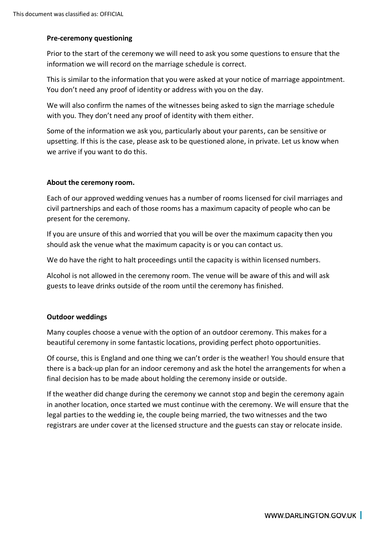## **Pre-ceremony questioning**

 Prior to the start of the ceremony we will need to ask you some questions to ensure that the information we will record on the marriage schedule is correct.

 This is similar to the information that you were asked at your notice of marriage appointment. You don't need any proof of identity or address with you on the day.

 We will also confirm the names of the witnesses being asked to sign the marriage schedule with you. They don't need any proof of identity with them either.

 Some of the information we ask you, particularly about your parents, can be sensitive or upsetting. If this is the case, please ask to be questioned alone, in private. Let us know when we arrive if you want to do this.

## **About the ceremony room.**

 Each of our approved wedding venues has a number of rooms licensed for civil marriages and civil partnerships and each of those rooms has a maximum capacity of people who can be present for the ceremony.

 If you are unsure of this and worried that you will be over the maximum capacity then you should ask the venue what the maximum capacity is or you can contact us.

We do have the right to halt proceedings until the capacity is within licensed numbers.

 Alcohol is not allowed in the ceremony room. The venue will be aware of this and will ask guests to leave drinks outside of the room until the ceremony has finished.

## **Outdoor weddings**

 Many couples choose a venue with the option of an outdoor ceremony. This makes for a beautiful ceremony in some fantastic locations, providing perfect photo opportunities.

 Of course, this is England and one thing we can't order is the weather! You should ensure that there is a back-up plan for an indoor ceremony and ask the hotel the arrangements for when a final decision has to be made about holding the ceremony inside or outside.

 If the weather did change during the ceremony we cannot stop and begin the ceremony again in another location, once started we must continue with the ceremony. We will ensure that the legal parties to the wedding ie, the couple being married, the two witnesses and the two registrars are under cover at the licensed structure and the guests can stay or relocate inside.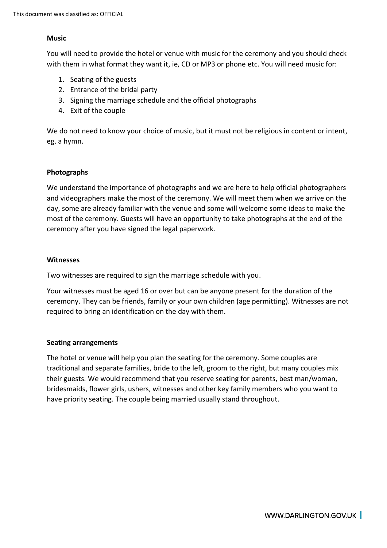#### **Music**

 You will need to provide the hotel or venue with music for the ceremony and you should check with them in what format they want it, ie, CD or MP3 or phone etc. You will need music for:

- 1. Seating of the guests
- 2. Entrance of the bridal party
- 3. Signing the marriage schedule and the official photographs
- 4. Exit of the couple

 We do not need to know your choice of music, but it must not be religious in content or intent, eg. a hymn.

#### **Photographs**

 We understand the importance of photographs and we are here to help official photographers and videographers make the most of the ceremony. We will meet them when we arrive on the day, some are already familiar with the venue and some will welcome some ideas to make the most of the ceremony. Guests will have an opportunity to take photographs at the end of the ceremony after you have signed the legal paperwork.

#### **Witnesses**

Two witnesses are required to sign the marriage schedule with you.

 Your witnesses must be aged 16 or over but can be anyone present for the duration of the ceremony. They can be friends, family or your own children (age permitting). Witnesses are not required to bring an identification on the day with them.

## **Seating arrangements**

 The hotel or venue will help you plan the seating for the ceremony. Some couples are traditional and separate families, bride to the left, groom to the right, but many couples mix their guests. We would recommend that you reserve seating for parents, best man/woman, bridesmaids, flower girls, ushers, witnesses and other key family members who you want to have priority seating. The couple being married usually stand throughout.